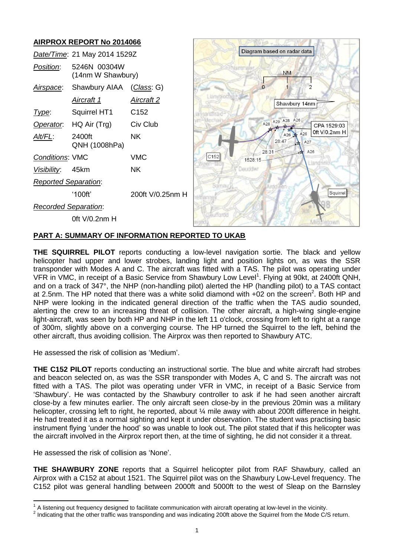# **AIRPROX REPORT No 2014066**



### **PART A: SUMMARY OF INFORMATION REPORTED TO UKAB**

**THE SQUIRREL PILOT** reports conducting a low-level navigation sortie. The black and yellow helicopter had upper and lower strobes, landing light and position lights on, as was the SSR transponder with Modes A and C. The aircraft was fitted with a TAS. The pilot was operating under VFR in VMC, in receipt of a Basic Service from Shawbury Low Level<sup>1</sup>. Flying at 90kt, at 2400ft QNH, and on a track of 347°, the NHP (non-handling pilot) alerted the HP (handling pilot) to a TAS contact at 2.5nm. The HP noted that there was a white solid diamond with  $+02$  on the screen<sup>2</sup>. Both HP and NHP were looking in the indicated general direction of the traffic when the TAS audio sounded, alerting the crew to an increasing threat of collision. The other aircraft, a high-wing single-engine light-aircraft, was seen by both HP and NHP in the left 11 o'clock, crossing from left to right at a range of 300m, slightly above on a converging course. The HP turned the Squirrel to the left, behind the other aircraft, thus avoiding collision. The Airprox was then reported to Shawbury ATC.

He assessed the risk of collision as 'Medium'.

**THE C152 PILOT** reports conducting an instructional sortie. The blue and white aircraft had strobes and beacon selected on, as was the SSR transponder with Modes A, C and S. The aircraft was not fitted with a TAS. The pilot was operating under VFR in VMC, in receipt of a Basic Service from 'Shawbury'. He was contacted by the Shawbury controller to ask if he had seen another aircraft close-by a few minutes earlier. The only aircraft seen close-by in the previous 20min was a military helicopter, crossing left to right, he reported, about 1/4 mile away with about 200ft difference in height. He had treated it as a normal sighting and kept it under observation. The student was practising basic instrument flying 'under the hood' so was unable to look out. The pilot stated that if this helicopter was the aircraft involved in the Airprox report then, at the time of sighting, he did not consider it a threat.

He assessed the risk of collision as 'None'.

**THE SHAWBURY ZONE** reports that a Squirrel helicopter pilot from RAF Shawbury, called an Airprox with a C152 at about 1521. The Squirrel pilot was on the Shawbury Low-Level frequency. The C152 pilot was general handling between 2000ft and 5000ft to the west of Sleap on the Barnsley

 $\overline{\phantom{a}}$ 1 A listening out frequency designed to facilitate communication with aircraft operating at low-level in the vicinity.

 $2$  Indicating that the other traffic was transponding and was indicating 200ft above the Squirrel from the Mode C/S return.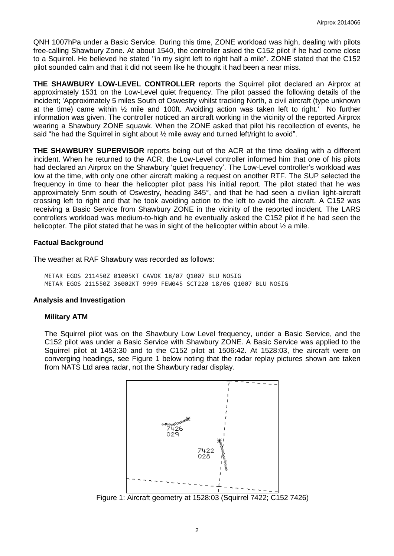QNH 1007hPa under a Basic Service. During this time, ZONE workload was high, dealing with pilots free-calling Shawbury Zone. At about 1540, the controller asked the C152 pilot if he had come close to a Squirrel. He believed he stated "in my sight left to right half a mile". ZONE stated that the C152 pilot sounded calm and that it did not seem like he thought it had been a near miss.

**THE SHAWBURY LOW-LEVEL CONTROLLER** reports the Squirrel pilot declared an Airprox at approximately 1531 on the Low-Level quiet frequency. The pilot passed the following details of the incident; 'Approximately 5 miles South of Oswestry whilst tracking North, a civil aircraft (type unknown at the time) came within ½ mile and 100ft. Avoiding action was taken left to right.' No further information was given. The controller noticed an aircraft working in the vicinity of the reported Airprox wearing a Shawbury ZONE squawk. When the ZONE asked that pilot his recollection of events, he said "he had the Squirrel in sight about  $\frac{1}{2}$  mile away and turned left/right to avoid".

**THE SHAWBURY SUPERVISOR** reports being out of the ACR at the time dealing with a different incident. When he returned to the ACR, the Low-Level controller informed him that one of his pilots had declared an Airprox on the Shawbury 'quiet frequency'. The Low-Level controller's workload was low at the time, with only one other aircraft making a request on another RTF. The SUP selected the frequency in time to hear the helicopter pilot pass his initial report. The pilot stated that he was approximately 5nm south of Oswestry, heading 345°, and that he had seen a civilian light-aircraft crossing left to right and that he took avoiding action to the left to avoid the aircraft. A C152 was receiving a Basic Service from Shawbury ZONE in the vicinity of the reported incident. The LARS controllers workload was medium-to-high and he eventually asked the C152 pilot if he had seen the helicopter. The pilot stated that he was in sight of the helicopter within about  $\frac{1}{2}$  a mile.

## **Factual Background**

The weather at RAF Shawbury was recorded as follows:

METAR EGOS 211450Z 01005KT CAVOK 18/07 Q1007 BLU NOSIG METAR EGOS 211550Z 36002KT 9999 FEW045 SCT220 18/06 Q1007 BLU NOSIG

#### **Analysis and Investigation**

#### **Military ATM**

The Squirrel pilot was on the Shawbury Low Level frequency, under a Basic Service, and the C152 pilot was under a Basic Service with Shawbury ZONE. A Basic Service was applied to the Squirrel pilot at 1453:30 and to the C152 pilot at 1506:42. At 1528:03, the aircraft were on converging headings, see Figure 1 below noting that the radar replay pictures shown are taken from NATS Ltd area radar, not the Shawbury radar display.



Figure 1: Aircraft geometry at 1528:03 (Squirrel 7422; C152 7426)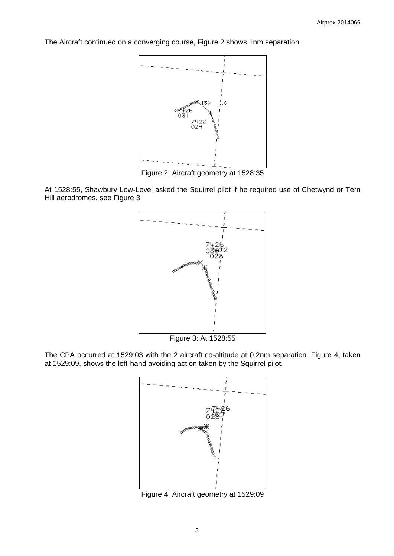The Aircraft continued on a converging course, Figure 2 shows 1nm separation.



Figure 2: Aircraft geometry at 1528:35

At 1528:55, Shawbury Low-Level asked the Squirrel pilot if he required use of Chetwynd or Tern Hill aerodromes, see Figure 3.



Figure 3: At 1528:55

The CPA occurred at 1529:03 with the 2 aircraft co-altitude at 0.2nm separation. Figure 4, taken at 1529:09, shows the left-hand avoiding action taken by the Squirrel pilot.



Figure 4: Aircraft geometry at 1529:09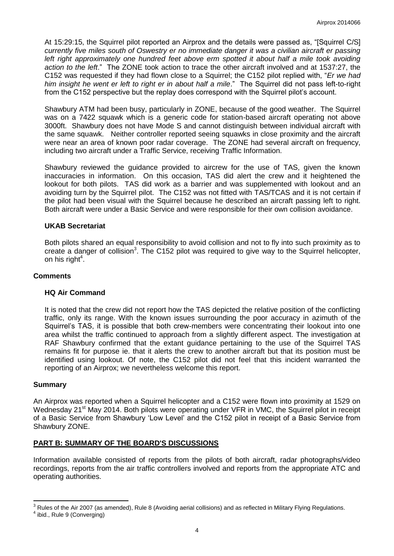At 15:29:15, the Squirrel pilot reported an Airprox and the details were passed as, "[Squirrel C/S] *currently five miles south of Oswestry er no immediate danger it was a civilian aircraft er passing*  left right approximately one hundred feet above erm spotted it about half a mile took avoiding *action to the left*." The ZONE took action to trace the other aircraft involved and at 1537:27, the C152 was requested if they had flown close to a Squirrel; the C152 pilot replied with, "*Er we had him insight he went er left to right er in about half a mile*." The Squirrel did not pass left-to-right from the C152 perspective but the replay does correspond with the Squirrel pilot's account.

Shawbury ATM had been busy, particularly in ZONE, because of the good weather. The Squirrel was on a 7422 squawk which is a generic code for station-based aircraft operating not above 3000ft. Shawbury does not have Mode S and cannot distinguish between individual aircraft with the same squawk. Neither controller reported seeing squawks in close proximity and the aircraft were near an area of known poor radar coverage. The ZONE had several aircraft on frequency, including two aircraft under a Traffic Service, receiving Traffic Information.

Shawbury reviewed the guidance provided to aircrew for the use of TAS, given the known inaccuracies in information. On this occasion, TAS did alert the crew and it heightened the lookout for both pilots. TAS did work as a barrier and was supplemented with lookout and an avoiding turn by the Squirrel pilot. The C152 was not fitted with TAS/TCAS and it is not certain if the pilot had been visual with the Squirrel because he described an aircraft passing left to right. Both aircraft were under a Basic Service and were responsible for their own collision avoidance.

#### **UKAB Secretariat**

Both pilots shared an equal responsibility to avoid collision and not to fly into such proximity as to create a danger of collision<sup>3</sup>. The C152 pilot was required to give way to the Squirrel helicopter, on his right<sup>4</sup>.

#### **Comments**

#### **HQ Air Command**

It is noted that the crew did not report how the TAS depicted the relative position of the conflicting traffic, only its range. With the known issues surrounding the poor accuracy in azimuth of the Squirrel's TAS, it is possible that both crew-members were concentrating their lookout into one area whilst the traffic continued to approach from a slightly different aspect. The investigation at RAF Shawbury confirmed that the extant guidance pertaining to the use of the Squirrel TAS remains fit for purpose ie. that it alerts the crew to another aircraft but that its position must be identified using lookout. Of note, the C152 pilot did not feel that this incident warranted the reporting of an Airprox; we nevertheless welcome this report.

#### **Summary**

 $\overline{\phantom{a}}$ 

An Airprox was reported when a Squirrel helicopter and a C152 were flown into proximity at 1529 on Wednesday 21<sup>st</sup> May 2014. Both pilots were operating under VFR in VMC, the Squirrel pilot in receipt of a Basic Service from Shawbury 'Low Level' and the C152 pilot in receipt of a Basic Service from Shawbury ZONE.

## **PART B: SUMMARY OF THE BOARD'S DISCUSSIONS**

Information available consisted of reports from the pilots of both aircraft, radar photographs/video recordings, reports from the air traffic controllers involved and reports from the appropriate ATC and operating authorities.

 $3$  Rules of the Air 2007 (as amended), Rule 8 (Avoiding aerial collisions) and as reflected in Military Flying Regulations. 4 ibid., Rule 9 (Converging)